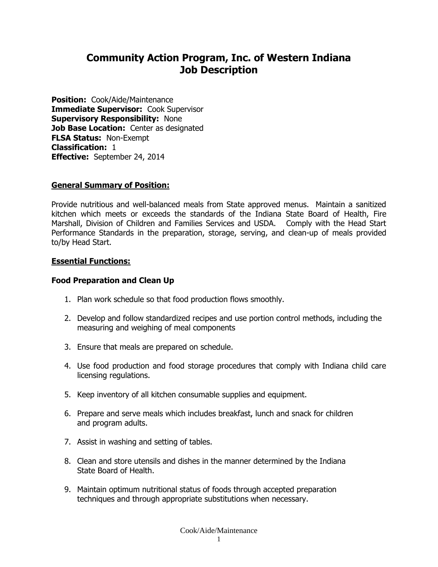# **Community Action Program, Inc. of Western Indiana Job Description**

**Position:** Cook/Aide/Maintenance **Immediate Supervisor:** Cook Supervisor **Supervisory Responsibility:** None **Job Base Location:** Center as designated **FLSA Status:** Non-Exempt **Classification:** 1 **Effective:** September 24, 2014

# **General Summary of Position:**

Provide nutritious and well-balanced meals from State approved menus. Maintain a sanitized kitchen which meets or exceeds the standards of the Indiana State Board of Health, Fire Marshall, Division of Children and Families Services and USDA. Comply with the Head Start Performance Standards in the preparation, storage, serving, and clean-up of meals provided to/by Head Start.

### **Essential Functions:**

#### **Food Preparation and Clean Up**

- 1. Plan work schedule so that food production flows smoothly.
- 2. Develop and follow standardized recipes and use portion control methods, including the measuring and weighing of meal components
- 3. Ensure that meals are prepared on schedule.
- 4. Use food production and food storage procedures that comply with Indiana child care licensing regulations.
- 5. Keep inventory of all kitchen consumable supplies and equipment.
- 6. Prepare and serve meals which includes breakfast, lunch and snack for children and program adults.
- 7. Assist in washing and setting of tables.
- 8. Clean and store utensils and dishes in the manner determined by the Indiana State Board of Health.
- 9. Maintain optimum nutritional status of foods through accepted preparation techniques and through appropriate substitutions when necessary.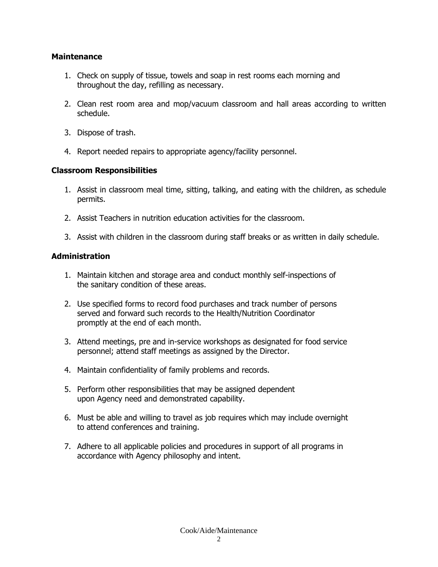# **Maintenance**

- 1. Check on supply of tissue, towels and soap in rest rooms each morning and throughout the day, refilling as necessary.
- 2. Clean rest room area and mop/vacuum classroom and hall areas according to written schedule.
- 3. Dispose of trash.
- 4. Report needed repairs to appropriate agency/facility personnel.

# **Classroom Responsibilities**

- 1. Assist in classroom meal time, sitting, talking, and eating with the children, as schedule permits.
- 2. Assist Teachers in nutrition education activities for the classroom.
- 3. Assist with children in the classroom during staff breaks or as written in daily schedule.

# **Administration**

- 1. Maintain kitchen and storage area and conduct monthly self-inspections of the sanitary condition of these areas.
- 2. Use specified forms to record food purchases and track number of persons served and forward such records to the Health/Nutrition Coordinator promptly at the end of each month.
- 3. Attend meetings, pre and in-service workshops as designated for food service personnel; attend staff meetings as assigned by the Director.
- 4. Maintain confidentiality of family problems and records.
- 5. Perform other responsibilities that may be assigned dependent upon Agency need and demonstrated capability.
- 6. Must be able and willing to travel as job requires which may include overnight to attend conferences and training.
- 7. Adhere to all applicable policies and procedures in support of all programs in accordance with Agency philosophy and intent.